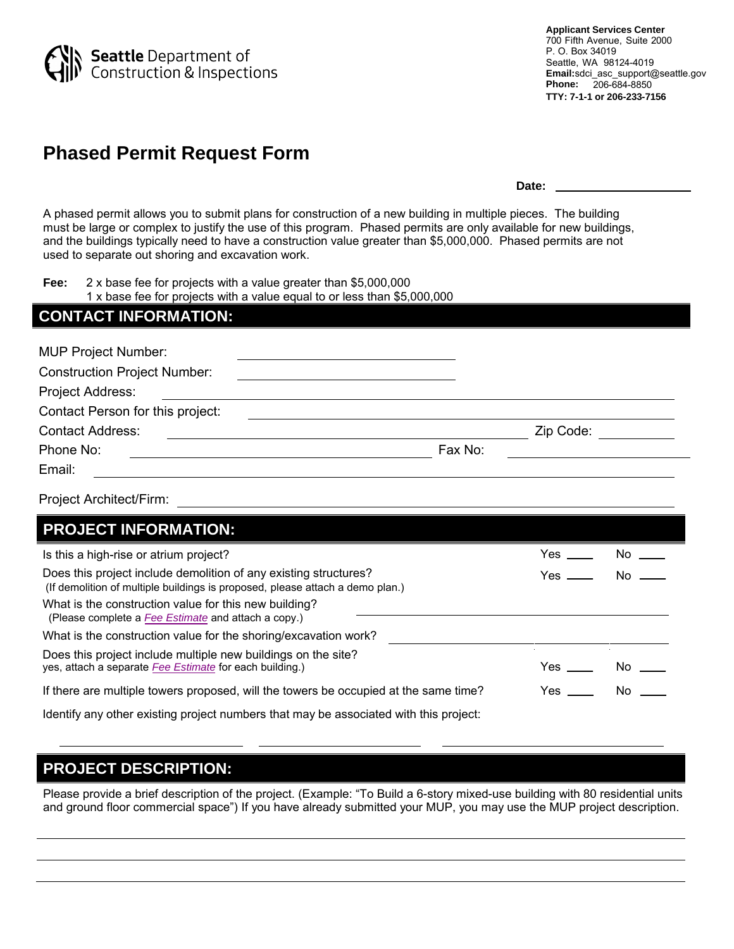

# **Phased Permit Request Form**

**Date:** 

 $Yes \_\_\_\_$  No  $\_\_\_\$ 

A phased permit allows you to submit plans for construction of a new building in multiple pieces. The building must be large or complex to justify the use of this program. Phased permits are only available for new buildings, and the buildings typically need to have a construction value greater than \$5,000,000. Phased permits are not used to separate out shoring and excavation work.

**Fee:** 2 x base fee for projects with a value greater than \$5,000,000

| 1 x base fee for projects with a value equal to or less than \$5,000,000 |  |  |  |
|--------------------------------------------------------------------------|--|--|--|
|--------------------------------------------------------------------------|--|--|--|

| <b>CONTACT INFORMATION:</b>                                                                                                                       |         |              |        |
|---------------------------------------------------------------------------------------------------------------------------------------------------|---------|--------------|--------|
| <b>MUP Project Number:</b>                                                                                                                        |         |              |        |
| <b>Construction Project Number:</b>                                                                                                               |         |              |        |
| Project Address:                                                                                                                                  |         |              |        |
| Contact Person for this project:                                                                                                                  |         |              |        |
| <b>Contact Address:</b>                                                                                                                           |         | Zip Code:    |        |
| Phone No:                                                                                                                                         | Fax No: |              |        |
| Email:                                                                                                                                            |         |              |        |
| Project Architect/Firm:                                                                                                                           |         |              |        |
| <b>PROJECT INFORMATION:</b>                                                                                                                       |         |              |        |
| Is this a high-rise or atrium project?                                                                                                            |         | Yes          | $No =$ |
| Does this project include demolition of any existing structures?<br>(If demolition of multiple buildings is proposed, please attach a demo plan.) |         | $Yes$ $\_\_$ | No     |
| What is the construction value for this new building?<br>(Please complete a Fee Estimate and attach a copy.)                                      |         |              |        |
| What is the construction value for the shoring/excavation work?                                                                                   |         |              |        |
| Does this project include multiple new buildings on the site?<br>yes, attach a separate Fee Estimate for each building.)                          |         | Yes          | No     |

If there are multiple towers proposed, will the towers be occupied at the same time?

Identify any other existing project numbers that may be associated with this project:

## **PROJECT DESCRIPTION:**

Please provide a brief description of the project. (Example: "To Build a 6-story mixed-use building with 80 residential units and ground floor commercial space") If you have already submitted your MUP, you may use the MUP project description.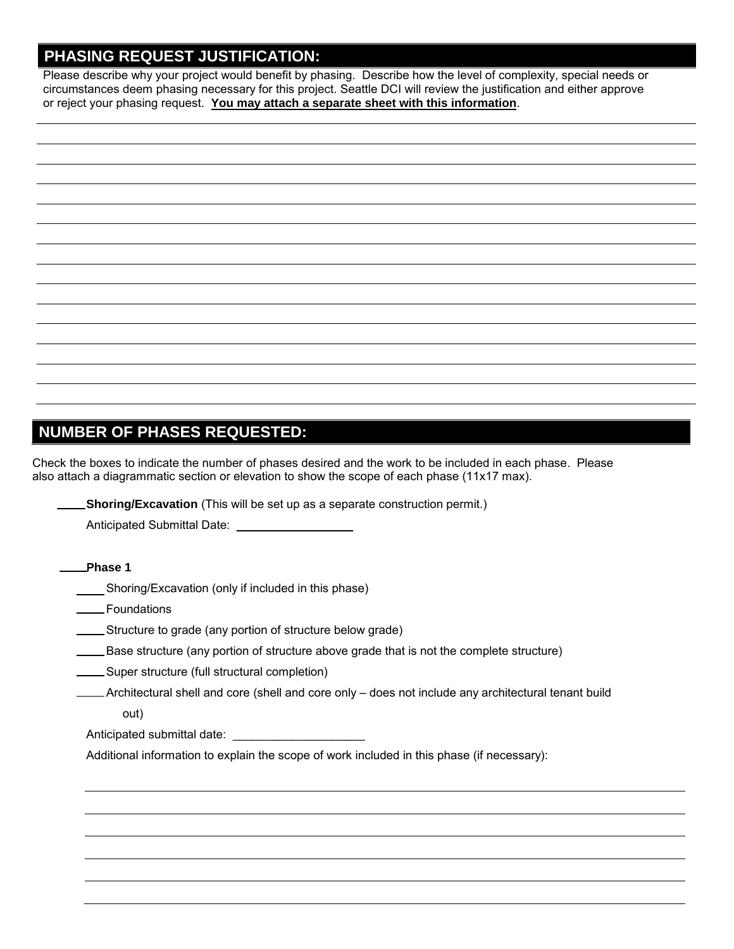### **PHASING REQUEST JUSTIFICATION:**

Please describe why your project would benefit by phasing. Describe how the level of complexity, special needs or circumstances deem phasing necessary for this project. Seattle DCI will review the justification and either approve or reject your phasing request. **You may attach a separate sheet with this information**.

|  | $\overline{\phantom{0}}$ |
|--|--------------------------|
|  |                          |
|  |                          |
|  |                          |
|  |                          |
|  |                          |
|  |                          |
|  |                          |
|  |                          |
|  |                          |

### **NUMBER OF PHASES REQUESTED:**

Check the boxes to indicate the number of phases desired and the work to be included in each phase. Please also attach a diagrammatic section or elevation to show the scope of each phase (11x17 max).

**Shoring/Excavation** (This will be set up as a separate construction permit.)

| Anticipated Submittal Date: |  |
|-----------------------------|--|
|-----------------------------|--|

- Shoring/Excavation (only if included in this phase)
- **EXALGE THE ENSINGLE TEAM**
- Structure to grade (any portion of structure below grade)
- Base structure (any portion of structure above grade that is not the complete structure)
- Super structure (full structural completion)
- Architectural shell and core (shell and core only does not include any architectural tenant build

out)

Anticipated submittal date:

Additional information to explain the scope of work included in this phase (if necessary):